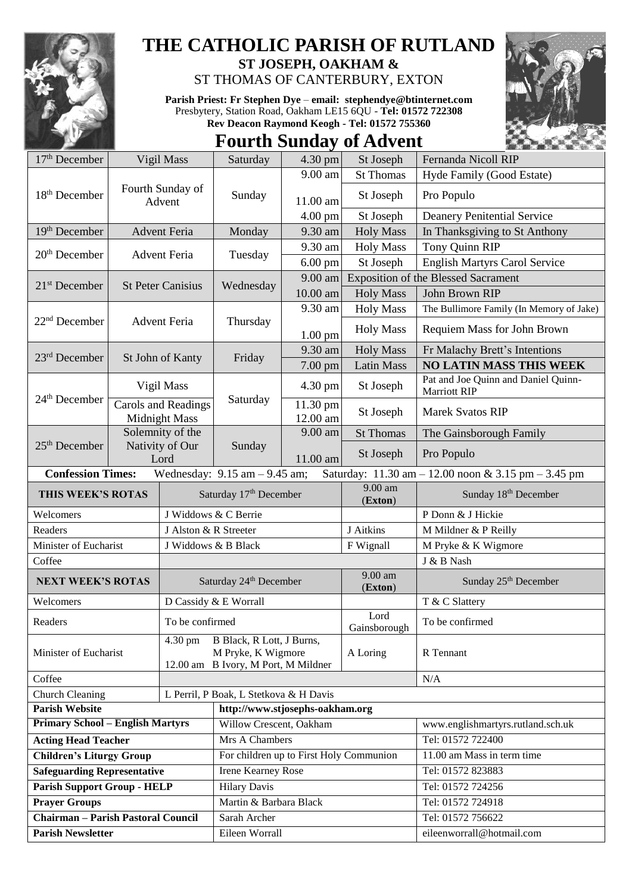

## **THE CATHOLIC PARISH OF RUTLAND**

**ST JOSEPH, OAKHAM &**  ST THOMAS OF CANTERBURY, EXTON

**Parish Priest: Fr Stephen Dye** – **[email: stephendye@btinternet.com](mailto:email:%20%20stephendye@btinternet.com)** Presbytery, Station Road, Oakham LE15 6QU - **Tel: 01572 722308 Rev Deacon Raymond Keogh - Tel: 01572 755360**

## **Fourth Sunday of Advent**



| $17th$ December                                                                                                                                         |                                                                | Vigil Mass            | Saturday                                                                               | 4.30 pm              | St Joseph            | Fernanda Nicoll RIP                                        |  |
|---------------------------------------------------------------------------------------------------------------------------------------------------------|----------------------------------------------------------------|-----------------------|----------------------------------------------------------------------------------------|----------------------|----------------------|------------------------------------------------------------|--|
|                                                                                                                                                         | Fourth Sunday of<br>Advent                                     |                       | Sunday                                                                                 | 9.00 am              | <b>St Thomas</b>     | Hyde Family (Good Estate)                                  |  |
| 18 <sup>th</sup> December                                                                                                                               |                                                                |                       |                                                                                        | 11.00 am             | St Joseph            | Pro Populo                                                 |  |
|                                                                                                                                                         |                                                                |                       |                                                                                        | 4.00 pm              | St Joseph            | <b>Deanery Penitential Service</b>                         |  |
| $19th$ December                                                                                                                                         |                                                                | <b>Advent Feria</b>   | Monday                                                                                 | 9.30 am              | <b>Holy Mass</b>     | In Thanksgiving to St Anthony                              |  |
| $20th$ December                                                                                                                                         | <b>Advent Feria</b>                                            |                       | Tuesday                                                                                | 9.30 am              | <b>Holy Mass</b>     | Tony Quinn RIP                                             |  |
|                                                                                                                                                         |                                                                |                       |                                                                                        | $6.00 \text{ pm}$    | St Joseph            | <b>English Martyrs Carol Service</b>                       |  |
|                                                                                                                                                         | <b>St Peter Canisius</b>                                       |                       | Wednesday                                                                              | 9.00 am              |                      | <b>Exposition of the Blessed Sacrament</b>                 |  |
| $21st$ December                                                                                                                                         |                                                                |                       |                                                                                        | 10.00 am             | <b>Holy Mass</b>     | John Brown RIP                                             |  |
|                                                                                                                                                         |                                                                |                       | Thursday                                                                               | 9.30 am              | <b>Holy Mass</b>     | The Bullimore Family (In Memory of Jake)                   |  |
| $22nd$ December                                                                                                                                         |                                                                | <b>Advent Feria</b>   |                                                                                        | $1.00$ pm            | <b>Holy Mass</b>     | Requiem Mass for John Brown                                |  |
| 23rd December                                                                                                                                           | St John of Kanty                                               |                       | Friday                                                                                 | 9.30 am              | <b>Holy Mass</b>     | Fr Malachy Brett's Intentions                              |  |
|                                                                                                                                                         |                                                                |                       |                                                                                        | 7.00 pm              | <b>Latin Mass</b>    | <b>NO LATIN MASS THIS WEEK</b>                             |  |
| $24th$ December                                                                                                                                         | Vigil Mass                                                     |                       | Saturday                                                                               | 4.30 pm              | St Joseph            | Pat and Joe Quinn and Daniel Quinn-<br><b>Marriott RIP</b> |  |
|                                                                                                                                                         | Carols and Readings<br><b>Midnight Mass</b>                    |                       |                                                                                        | 11.30 pm<br>12.00 am | St Joseph            | <b>Marek Svatos RIP</b>                                    |  |
|                                                                                                                                                         | Solemnity of the<br>$25th$ December<br>Nativity of Our<br>Lord |                       | Sunday                                                                                 | 9.00 am              | <b>St Thomas</b>     | The Gainsborough Family                                    |  |
|                                                                                                                                                         |                                                                |                       |                                                                                        | 11.00 am             | St Joseph            | Pro Populo                                                 |  |
| <b>Confession Times:</b><br>Wednesday: $9.15$ am $- 9.45$ am;<br>Saturday: $11.30 \text{ am} - 12.00 \text{ noon} \& 3.15 \text{ pm} - 3.45 \text{ pm}$ |                                                                |                       |                                                                                        |                      |                      |                                                            |  |
| THIS WEEK'S ROTAS                                                                                                                                       |                                                                |                       | Saturday 17th December                                                                 |                      | $9.00$ am<br>(Exton) | Sunday 18th December                                       |  |
| Welcomers                                                                                                                                               |                                                                |                       | J Widdows & C Berrie                                                                   |                      |                      | P Donn & J Hickie                                          |  |
| Readers                                                                                                                                                 |                                                                | J Alston & R Streeter |                                                                                        |                      | J Aitkins            | M Mildner & P Reilly                                       |  |
| Minister of Eucharist                                                                                                                                   |                                                                | J Widdows & B Black   |                                                                                        |                      | F Wignall            | M Pryke & K Wigmore                                        |  |
| Coffee                                                                                                                                                  |                                                                |                       |                                                                                        |                      | 9.00 am              | J & B Nash                                                 |  |
|                                                                                                                                                         | <b>NEXT WEEK'S ROTAS</b>                                       |                       | Saturday 24 <sup>th</sup> December                                                     |                      |                      | Sunday 25 <sup>th</sup> December                           |  |
| Welcomers                                                                                                                                               |                                                                |                       | D Cassidy & E Worrall                                                                  |                      |                      | T & C Slattery                                             |  |
| Readers                                                                                                                                                 |                                                                | To be confirmed       |                                                                                        |                      | Lord<br>Gainsborough | To be confirmed                                            |  |
| Minister of Eucharist                                                                                                                                   |                                                                | $4.30 \text{ pm}$     | B Black, R Lott, J Burns,<br>M Pryke, K Wigmore<br>12.00 am B Ivory, M Port, M Mildner |                      | A Loring             | R Tennant                                                  |  |
| Coffee                                                                                                                                                  |                                                                |                       |                                                                                        |                      |                      | N/A                                                        |  |
| Church Cleaning                                                                                                                                         |                                                                |                       | L Perril, P Boak, L Stetkova & H Davis                                                 |                      |                      |                                                            |  |
| <b>Parish Website</b>                                                                                                                                   |                                                                |                       | http://www.stjosephs-oakham.org                                                        |                      |                      |                                                            |  |
| <b>Primary School - English Martyrs</b>                                                                                                                 |                                                                |                       | Willow Crescent, Oakham                                                                |                      |                      | www.englishmartyrs.rutland.sch.uk                          |  |
| <b>Acting Head Teacher</b>                                                                                                                              |                                                                |                       | Mrs A Chambers                                                                         |                      |                      | Tel: 01572 722400                                          |  |
| <b>Children's Liturgy Group</b>                                                                                                                         |                                                                |                       | For children up to First Holy Communion                                                |                      |                      | 11.00 am Mass in term time                                 |  |
| <b>Safeguarding Representative</b>                                                                                                                      |                                                                |                       | Irene Kearney Rose                                                                     |                      |                      | Tel: 01572 823883                                          |  |
| <b>Parish Support Group - HELP</b>                                                                                                                      |                                                                |                       | <b>Hilary Davis</b>                                                                    |                      |                      | Tel: 01572 724256                                          |  |
| <b>Prayer Groups</b>                                                                                                                                    |                                                                |                       | Martin & Barbara Black                                                                 |                      |                      | Tel: 01572 724918                                          |  |
| <b>Chairman - Parish Pastoral Council</b>                                                                                                               |                                                                |                       | Sarah Archer                                                                           |                      |                      | Tel: 01572 756622                                          |  |
| <b>Parish Newsletter</b>                                                                                                                                |                                                                |                       | Eileen Worrall                                                                         |                      |                      | eileenworrall@hotmail.com                                  |  |